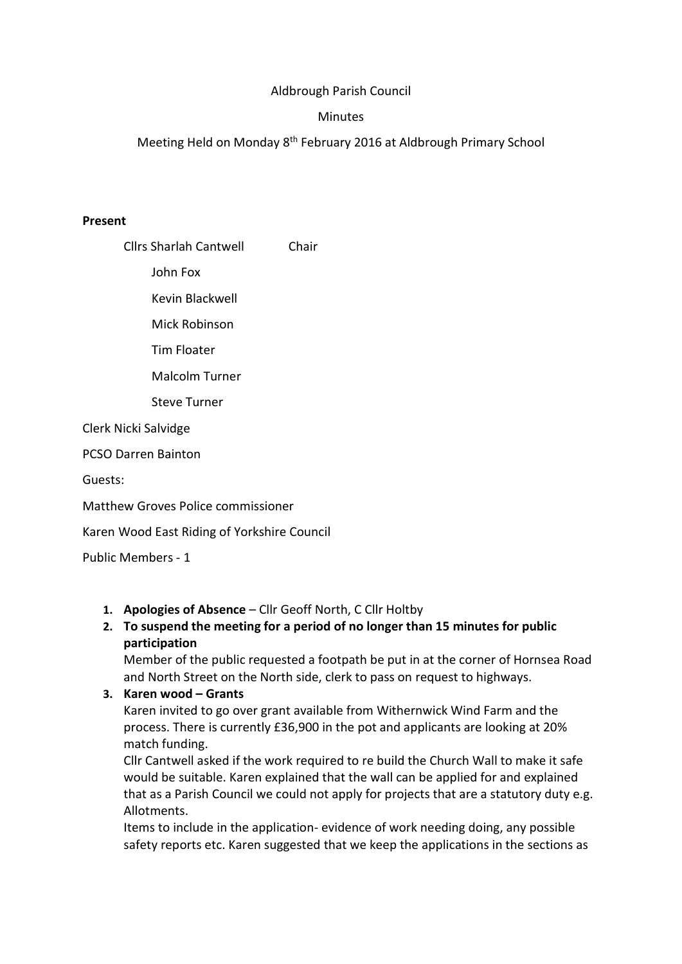# Aldbrough Parish Council

#### **Minutes**

Meeting Held on Monday 8th February 2016 at Aldbrough Primary School

#### Present

Cllrs Sharlah Cantwell Chair

John Fox

Kevin Blackwell

Mick Robinson

Tim Floater

Malcolm Turner

Steve Turner

Clerk Nicki Salvidge

PCSO Darren Bainton

Guests:

Matthew Groves Police commissioner

Karen Wood East Riding of Yorkshire Council

Public Members - 1

#### 1. Apologies of Absence – Cllr Geoff North, C Cllr Holtby

## 2. To suspend the meeting for a period of no longer than 15 minutes for public participation

Member of the public requested a footpath be put in at the corner of Hornsea Road and North Street on the North side, clerk to pass on request to highways.

## 3. Karen wood – Grants

Karen invited to go over grant available from Withernwick Wind Farm and the process. There is currently £36,900 in the pot and applicants are looking at 20% match funding.

Cllr Cantwell asked if the work required to re build the Church Wall to make it safe would be suitable. Karen explained that the wall can be applied for and explained that as a Parish Council we could not apply for projects that are a statutory duty e.g. Allotments.

Items to include in the application- evidence of work needing doing, any possible safety reports etc. Karen suggested that we keep the applications in the sections as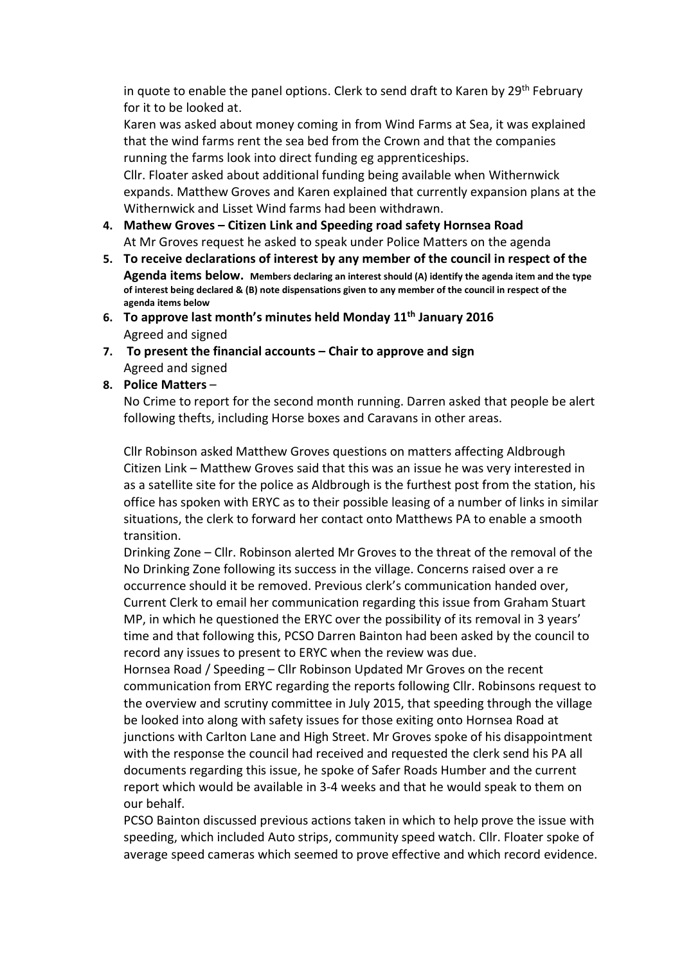in quote to enable the panel options. Clerk to send draft to Karen by 29<sup>th</sup> February for it to be looked at.

Karen was asked about money coming in from Wind Farms at Sea, it was explained that the wind farms rent the sea bed from the Crown and that the companies running the farms look into direct funding eg apprenticeships.

Cllr. Floater asked about additional funding being available when Withernwick expands. Matthew Groves and Karen explained that currently expansion plans at the Withernwick and Lisset Wind farms had been withdrawn.

- 4. Mathew Groves Citizen Link and Speeding road safety Hornsea Road At Mr Groves request he asked to speak under Police Matters on the agenda
- 5. To receive declarations of interest by any member of the council in respect of the Agenda items below. Members declaring an interest should (A) identify the agenda item and the type of interest being declared & (B) note dispensations given to any member of the council in respect of the agenda items below
- 6. To approve last month's minutes held Monday  $11<sup>th</sup>$  January 2016 Agreed and signed
- 7. To present the financial accounts Chair to approve and sign Agreed and signed

## 8. Police Matters –

No Crime to report for the second month running. Darren asked that people be alert following thefts, including Horse boxes and Caravans in other areas.

Cllr Robinson asked Matthew Groves questions on matters affecting Aldbrough Citizen Link – Matthew Groves said that this was an issue he was very interested in as a satellite site for the police as Aldbrough is the furthest post from the station, his office has spoken with ERYC as to their possible leasing of a number of links in similar situations, the clerk to forward her contact onto Matthews PA to enable a smooth transition.

Drinking Zone – Cllr. Robinson alerted Mr Groves to the threat of the removal of the No Drinking Zone following its success in the village. Concerns raised over a re occurrence should it be removed. Previous clerk's communication handed over, Current Clerk to email her communication regarding this issue from Graham Stuart MP, in which he questioned the ERYC over the possibility of its removal in 3 years' time and that following this, PCSO Darren Bainton had been asked by the council to record any issues to present to ERYC when the review was due.

Hornsea Road / Speeding – Cllr Robinson Updated Mr Groves on the recent communication from ERYC regarding the reports following Cllr. Robinsons request to the overview and scrutiny committee in July 2015, that speeding through the village be looked into along with safety issues for those exiting onto Hornsea Road at junctions with Carlton Lane and High Street. Mr Groves spoke of his disappointment with the response the council had received and requested the clerk send his PA all documents regarding this issue, he spoke of Safer Roads Humber and the current report which would be available in 3-4 weeks and that he would speak to them on our behalf.

PCSO Bainton discussed previous actions taken in which to help prove the issue with speeding, which included Auto strips, community speed watch. Cllr. Floater spoke of average speed cameras which seemed to prove effective and which record evidence.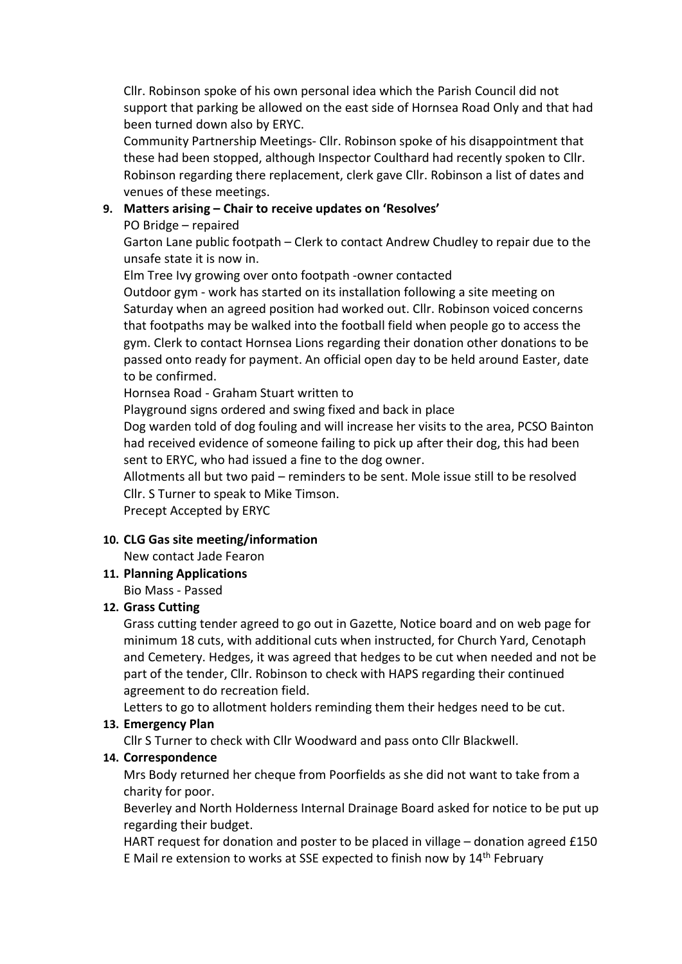Cllr. Robinson spoke of his own personal idea which the Parish Council did not support that parking be allowed on the east side of Hornsea Road Only and that had been turned down also by ERYC.

Community Partnership Meetings- Cllr. Robinson spoke of his disappointment that these had been stopped, although Inspector Coulthard had recently spoken to Cllr. Robinson regarding there replacement, clerk gave Cllr. Robinson a list of dates and venues of these meetings.

# 9. Matters arising – Chair to receive updates on 'Resolves'

## PO Bridge – repaired

Garton Lane public footpath – Clerk to contact Andrew Chudley to repair due to the unsafe state it is now in.

Elm Tree Ivy growing over onto footpath -owner contacted

Outdoor gym - work has started on its installation following a site meeting on Saturday when an agreed position had worked out. Cllr. Robinson voiced concerns that footpaths may be walked into the football field when people go to access the gym. Clerk to contact Hornsea Lions regarding their donation other donations to be passed onto ready for payment. An official open day to be held around Easter, date to be confirmed.

Hornsea Road - Graham Stuart written to

Playground signs ordered and swing fixed and back in place

Dog warden told of dog fouling and will increase her visits to the area, PCSO Bainton had received evidence of someone failing to pick up after their dog, this had been sent to ERYC, who had issued a fine to the dog owner.

Allotments all but two paid – reminders to be sent. Mole issue still to be resolved Cllr. S Turner to speak to Mike Timson.

Precept Accepted by ERYC

## 10. CLG Gas site meeting/information

New contact Jade Fearon

11. Planning Applications

Bio Mass - Passed

## 12. Grass Cutting

Grass cutting tender agreed to go out in Gazette, Notice board and on web page for minimum 18 cuts, with additional cuts when instructed, for Church Yard, Cenotaph and Cemetery. Hedges, it was agreed that hedges to be cut when needed and not be part of the tender, Cllr. Robinson to check with HAPS regarding their continued agreement to do recreation field.

Letters to go to allotment holders reminding them their hedges need to be cut.

## 13. Emergency Plan

Cllr S Turner to check with Cllr Woodward and pass onto Cllr Blackwell.

## 14. Correspondence

Mrs Body returned her cheque from Poorfields as she did not want to take from a charity for poor.

Beverley and North Holderness Internal Drainage Board asked for notice to be put up regarding their budget.

HART request for donation and poster to be placed in village – donation agreed £150 E Mail re extension to works at SSE expected to finish now by 14th February